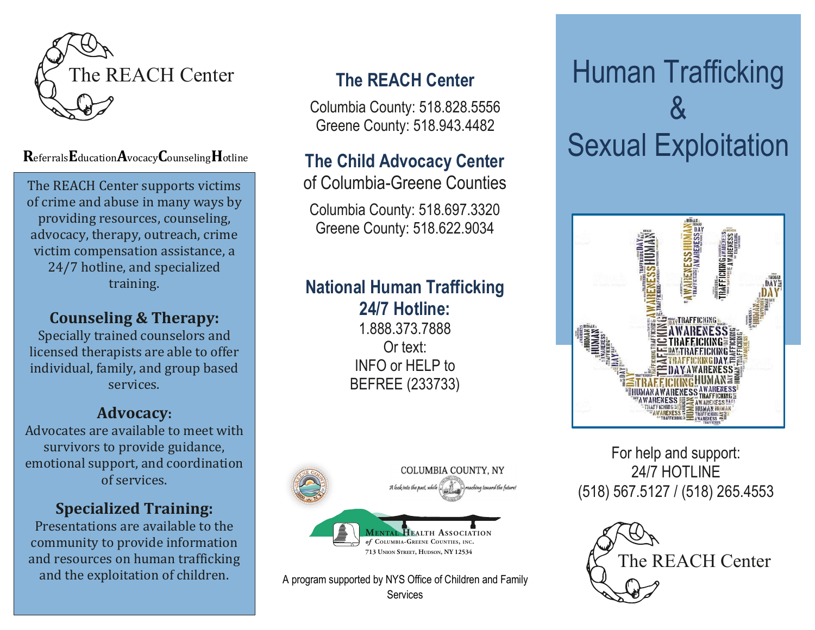

#### $\mathbf{R}$ eferrals $\mathbf{E}$ ducation $\mathbf{A}$ vocacy $\mathbf{C}$ ounseling $\mathbf{H}$ otline **ReferralsEducationAvocacyCounselingNotli** provided resources, counseling, counseling, counseling, counseling, counseling, counseling, counseling, counseling, counseling, counseling, counseling, counseling, counseling, counseling, counseling, counseling, counseling **ReferralsEqueationAvocacyCounseling11oti** The Reach center supports victims of the Reach center supports victims of the Reach center supports victims of  $\frac{1}{\sqrt{2}}$  . The REACH  $\frac{1}{\sqrt{2}}$  is the REACH center support supports victims victims victims victims victims victims victims victims victims victims victims victims victims victims victims victims victims victims vi The Reach Center supports victims of the Reach Center supports victims of the Reach Center supports victims of

The REACH Center supports victims of crime and abuse in many ways by  $r_{\text{r}}$  resources, advantages,  $r_{\text{r}}$ providing resources, counseling, advocacy, therapy, outreach, crime  $\vert$  victim compensation assistance, a **F/** / notime, and specializ E<sub>11</sub>, housing and specialized The REACH Center supports victims  $\overline{\phantom{a}}$ **County** resources, counsel  $t_{\text{total}}$  and specialized **Advocacy:** advocacy, therapy, outreach, crime<br>victim compensation assistance, a 24/7 hotline, and specialized  $\mathbf{r}$  are able to offer the able to offer the able to offer the  $\mathbf{r}$ advocacy, therapy, outreach, crime

# **individual, and Gounseling & Therapy:**

**Advocation** Specially trained counselors and licensed therapists are able to off individual, family, and group based services. licensed therapists are able to offer services. Specially trained counselors and Specially trained counselors and Specially trained counselors and

#### **Specialized Training: Presentation Advocacy:** community  $\mathcal{L}^{\mathcal{L}}$  and  $\mathcal{L}^{\mathcal{L}}$  and  $\mathcal{L}^{\mathcal{L}}$

Advocates are available to meet with survivors to provide guidance,  $\frac{1}{2}$  eunnart and coor **Crime of services.** emotional support, and coordination<br>of services.  $\begin{bmatrix} 1 & 0 & 0 \end{bmatrix}$  of SCI vices.

### **Specialized Training: Specialized Training: Specialized Training: Specialized Training:**

**Expedimedia is diming.**<br>Presentations are available to the I resentations are available to the<br>community to provide information dedicated to provide the control and resources on numan trainewing and the exploitation of children. resentations are available to the community to provide information and resources on human trafficking Presentations are available to the  $P_{\text{presentations are available to the}}$ community to provide information community to provide information community to provide information  $\frac{a_{\text{max}}}{a_{\text{max}}}$  and the exploitation of children and the exploitation of children. and resources on human trainering and the exploitation of children. and resources on human trafficing and the exploitation of children.

### The REACH Center  $\frac{1}{2}$ **The REACH Center The REACH Center The REACH Center**

**The REACH Center The REACH Center The Child Advocacy Center** Columbia County: 518.828.5556 Columbia County: 518.828.5556 Columbia County: 518.828.5556 Greene County: 518.943.44 **2010 Columbia County: 010.020.0000** Greene County: 518.943.4482

## Greene County: 518.943.4482 518.828.5556 *or*  $\mathbf{R}_{\text{efferals}\textbf{E}_{\text{ducation}\textbf{A} \text{vocacy}\textbf{C} \text{a} \text{unseling}\textbf{H} \text{otline}}$  The Child Advocacy Center  $\text{Dexual } \text{EXplolla}$

**24 Hr. Emily Advocacy Sci** of Columbia-Greene Count  $G$ elumbia:  $G$ reene  $G$ eunti $G$ of Columbia-Greene Counties of Columbia-Greene Counties of Columbia-Greene Counties

518.828.5556 *or*  $518.500$ **The Child Advocacy Center** of Columbia-Greene Counties Columbia County: 518.697.3320 Columbia County: 518.697.3320 Columbia County: 518.697.3320 of Columbia-Greene Counties Columbia County: 518.697.3320 **National Human Trafficking**  Greene County: 518.622.9034 Greene County: 518.622.9034 Greene County: 518.622.9034

#### Columbia County: 518.697.3320 **National Human Trafficking**  24/7 Hotline:  $\frac{5.001 \times 10.001 \times 10.001}{24/7}$ 1.888.373.7888 **National Human Trafficking** INFO or HELP to **24/7 Hotline: 24/7 Hotline: 24/7 Hotline:**

 $\frac{1.000.010.1}{\pi}$ 518.265.4553 Or text: **BEFREE (233733)** 518.265.4553 **24/7 Hotline: Note State**<br>  $\overline{a}$ **24/7 Hotline:**  $1.888$   $1.888$   $1.888$  $1.000.010.78$ INFU UI HELI<br>AFFREE (000) BEFREE (233733) BEFREE (233733) BEFREE (233733) BEFREE (233733) BEFREE (233733) 1.888.373.7888 1.888.373.7888 1.888.373.7888 Or text: Or text: Or text: INFO or HELP to INFO or HELP to INFO or HELP to



**Services** of Children and Family Services A program supported by NYS Office of Children and Family  $\alpha$  by NYS Office of Children and Family  $\alpha$ 

#### **S T O P Sexual Exploita** man Traff  $\frac{1}{2}$ .<br>מצ Sexual Exploitation The REACH Center The REACH Center **Human Trafficking** & Sexual Exploitation Greene County: 518.943.4482  $\ddot{\phantom{0}}$ Greene County: 518.943.4482  $\mathbf{r}$ Greene County: 518.943.4482 &



#### For help and support: **of Crime and Abuse** For help and support: استان 110 ہے۔<br>165.4 (1618) 265.4 (1618)  $24$ /9/9/2 24/7 HOTLINE (518) 567.5127 / (518) 265.4553  $\frac{1}{2}$  for  $\frac{1}{2}$  and  $\frac{1}{2}$  and  $\frac{1}{2}$  and support: